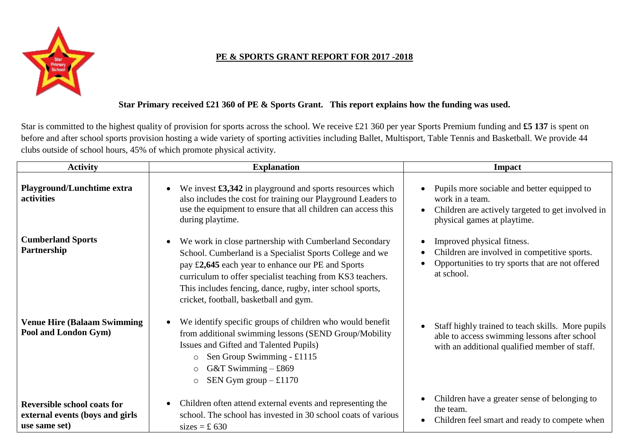

## **PE & SPORTS GRANT REPORT FOR 2017 -2018**

## **Star Primary received £21 360 of PE & Sports Grant. This report explains how the funding was used.**

Star is committed to the highest quality of provision for sports across the school. We receive £21 360 per year Sports Premium funding and **£5 137** is spent on before and after school sports provision hosting a wide variety of sporting activities including Ballet, Multisport, Table Tennis and Basketball. We provide 44 clubs outside of school hours, 45% of which promote physical activity.

| <b>Activity</b>                                                                        | <b>Explanation</b>                                                                                                                                                                                                                                                                                                                           | Impact                                                                                                                                             |
|----------------------------------------------------------------------------------------|----------------------------------------------------------------------------------------------------------------------------------------------------------------------------------------------------------------------------------------------------------------------------------------------------------------------------------------------|----------------------------------------------------------------------------------------------------------------------------------------------------|
| <b>Playground/Lunchtime extra</b><br><b>activities</b>                                 | We invest $\pounds3,342$ in playground and sports resources which<br>also includes the cost for training our Playground Leaders to<br>use the equipment to ensure that all children can access this<br>during playtime.                                                                                                                      | Pupils more sociable and better equipped to<br>work in a team.<br>Children are actively targeted to get involved in<br>physical games at playtime. |
| <b>Cumberland Sports</b><br>Partnership                                                | We work in close partnership with Cumberland Secondary<br>School. Cumberland is a Specialist Sports College and we<br>pay £2,645 each year to enhance our PE and Sports<br>curriculum to offer specialist teaching from KS3 teachers.<br>This includes fencing, dance, rugby, inter school sports,<br>cricket, football, basketball and gym. | Improved physical fitness.<br>Children are involved in competitive sports.<br>Opportunities to try sports that are not offered<br>at school.       |
| <b>Venue Hire (Balaam Swimming)</b><br>Pool and London Gym)                            | We identify specific groups of children who would benefit<br>from additional swimming lessons (SEND Group/Mobility<br>Issues and Gifted and Talented Pupils)<br>Sen Group Swimming - £1115<br>$\circ$<br>G&T Swimming $-$ £869<br>$\circ$<br>SEN Gym group $-£1170$<br>$\circ$                                                               | Staff highly trained to teach skills. More pupils<br>able to access swimming lessons after school<br>with an additional qualified member of staff. |
| <b>Reversible school coats for</b><br>external events (boys and girls<br>use same set) | Children often attend external events and representing the<br>school. The school has invested in 30 school coats of various<br>sizes = £ 630                                                                                                                                                                                                 | Children have a greater sense of belonging to<br>the team.<br>Children feel smart and ready to compete when                                        |